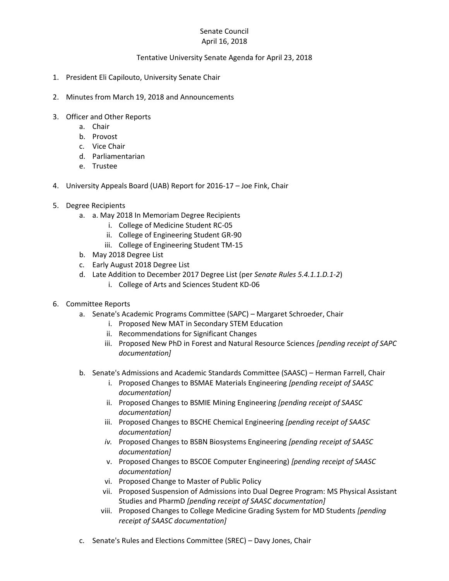## Senate Council April 16, 2018

## Tentative University Senate Agenda for April 23, 2018

- 1. President Eli Capilouto, University Senate Chair
- 2. Minutes from March 19, 2018 and Announcements
- 3. Officer and Other Reports
	- a. Chair
	- b. Provost
	- c. Vice Chair
	- d. Parliamentarian
	- e. Trustee
- 4. University Appeals Board (UAB) Report for 2016-17 Joe Fink, Chair
- 5. Degree Recipients
	- a. a. May 2018 In Memoriam Degree Recipients
		- i. College of Medicine Student RC-05
		- ii. College of Engineering Student GR-90
		- iii. College of Engineering Student TM-15
	- b. May 2018 Degree List
	- c. Early August 2018 Degree List
	- d. Late Addition to December 2017 Degree List (per *Senate Rules 5.4.1.1.D.1-2*)
		- i. College of Arts and Sciences Student KD-06
- 6. Committee Reports
	- a. Senate's Academic Programs Committee (SAPC) Margaret Schroeder, Chair
		- i. Proposed New MAT in Secondary STEM Education
		- ii. Recommendations for Significant Changes
		- iii. Proposed New PhD in Forest and Natural Resource Sciences *[pending receipt of SAPC documentation]*
	- b. Senate's Admissions and Academic Standards Committee (SAASC) Herman Farrell, Chair
		- i. Proposed Changes to BSMAE Materials Engineering *[pending receipt of SAASC documentation]*
		- ii. Proposed Changes to BSMIE Mining Engineering *[pending receipt of SAASC documentation]*
		- iii. Proposed Changes to BSCHE Chemical Engineering *[pending receipt of SAASC documentation]*
		- *iv.* Proposed Changes to BSBN Biosystems Engineering *[pending receipt of SAASC documentation]*
		- v. Proposed Changes to BSCOE Computer Engineering) *[pending receipt of SAASC documentation]*
		- vi. Proposed Change to Master of Public Policy
		- vii. Proposed Suspension of Admissions into Dual Degree Program: MS Physical Assistant Studies and PharmD *[pending receipt of SAASC documentation]*
		- viii. Proposed Changes to College Medicine Grading System for MD Students *[pending receipt of SAASC documentation]*
	- c. Senate's Rules and Elections Committee (SREC) Davy Jones, Chair